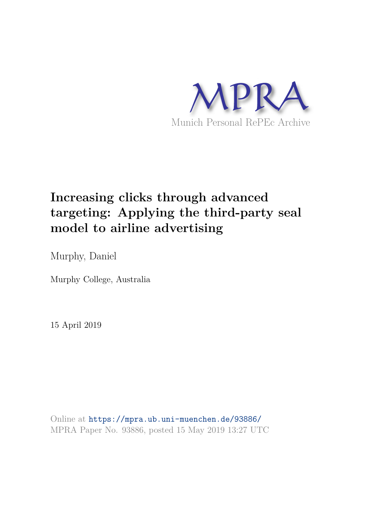

# **Increasing clicks through advanced targeting: Applying the third-party seal model to airline advertising**

Murphy, Daniel

Murphy College, Australia

15 April 2019

Online at https://mpra.ub.uni-muenchen.de/93886/ MPRA Paper No. 93886, posted 15 May 2019 13:27 UTC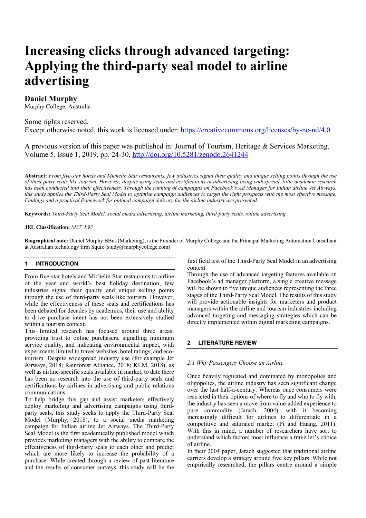# **Increasing clicks through advanced targeting: Applying the third-party seal model to airline advertising**

# **Daniel Murphy**

Murphy College, Australia

# Some rights reserved. Except otherwise noted, this work is licensed under: https://creativecommons.org/licenses/by-nc-nd/4.0

A previous version of this paper was published in: Journal of Tourism, Heritage & Services Marketing, Volume 5, Issue 1, 2019, pp. 24-30, http://doi.org/10.5281/zenodo.2641244

**Abstract:** *From five-star hotels and Michelin Star restaurants, few industries signal their quality and unique selling points through the use of third-party seals like tourism. However, despite using seals and certifications in advertising being widespread, little academic research has been conducted into their effectiveness. Through the running of campaigns on Facebook's Ad Manager for Indian airline Jet Airways, this study applies the Third-Party Seal Model to optimise campaign audiences to target the right prospects with the most effective message. Findings and a practical framework for optimal campaign delivery for the airline industry are presented.*

**Keywords:** *Third-Party Seal Model, social media advertising, airline marketing, third-party seals, online advertising*

#### **JEL Classification:** *M37, L93*

**Biographical note:** Daniel Murphy BBus (Marketing), is the Founder of Murphy College and the Principal Marketing Automation Consultant at Australian technology firm Squiz (study@murphycollege.com)

#### **1 INTRODUCTION**

From five-star hotels and Michelin Star restaurants to airline of the year and world's best holiday destination, few industries signal their quality and unique selling points through the use of third-party seals like tourism. However, while the effectiveness of these seals and certifications has been debated for decades by academics, their use and ability to drive purchase intent has not been extensively studied within a tourism context.

This limited research has focused around three areas; providing trust to online purchasers, signalling minimum service quality, and indicating environmental impact, with experiments limited to travel websites, hotel ratings, and ecotourism. Despite widespread industry use (for example Jet Airways, 2018; Rainforest Alliance, 2018; KLM, 2018), as well as airline-specific seals available in market, to date there has been no research into the use of third-party seals and certifications by airlines in advertising and public relations communications.

To help bridge this gap and assist marketers effectively deploy marketing and advertising campaigns using thirdparty seals, this study seeks to apply the Third-Party Seal Model (Murphy, 2018), to a social media marketing campaign for Indian airline Jet Airways. The Third-Party Seal Model is the first academically published model which provides marketing managers with the ability to compare the effectiveness of third-party seals to each other and predict which are more likely to increase the probability of a purchase. While created through a review of past literature and the results of consumer surveys, this study will be the first field test of the Third-Party Seal Model in an advertising context.

Through the use of advanced targeting features available on Facebook's ad manager platform, a single creative message will be shown to five unique audiences representing the three stages of the Third-Party Seal Model. The results of this study will provide actionable insights for marketers and product managers within the airline and tourism industries including advanced targeting and messaging strategies which can be directly implemented within digital marketing campaigns.

# **2 LITERATURE REVIEW**

#### *2.1 Why Passengers Choose an Airline*

Once heavily regulated and dominated by monopolies and oligopolies, the airline industry has seen significant change over the last half-a-century. Whereas once consumers were restricted in their options of where to fly and who to fly with, the industry has seen a move from value-added experience to pure commodity (Jarach, 2004), with it becoming increasingly difficult for airlines to differentiate in a competitive and saturated market (Pi and Huang, 2011). With this in mind, a number of researchers have sort to understand which factors most influence a traveller's choice of airline.

In their 2004 paper, Jarach suggested that traditional airline carriers develop a strategy around five key pillars. While not empirically researched, the pillars centre around a simple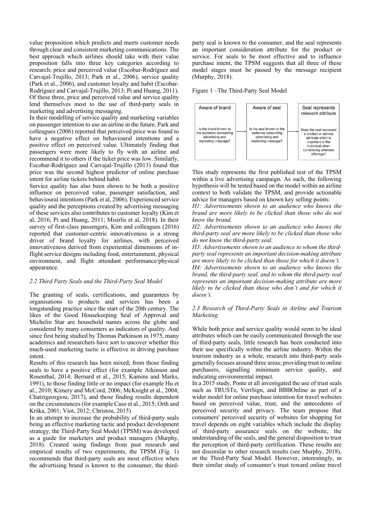value proposition which predicts and meets customer needs through clear and consistent marketing communications. The best approach which airlines should take with their value proposition falls into three key categories according to research; price and perceived value (Escobar-Rodríguez and Carvajal-Trujillo, 2013; Park et al., 2006), service quality (Park et al., 2006), and customer loyalty and habit (Escobar-Rodríguez and Carvajal-Trujillo, 2013; Pi and Huang, 2011). Of these three, price and perceived value and service quality lend themselves most to the use of third-party seals in marketing and advertising messaging.

In their modelling of service quality and marketing variables on passenger intention to use an airline in the future, Park and colleagues (2006) reported that perceived price was found to have a negative effect on behavioural intentions and a positive effect on perceived value. Ultimately finding that passengers were more likely to fly with an airline and recommend it to others if the ticket price was low. Similarly, Escobar-Rodríguez and Carvajal-Trujillo (2013) found that price was the second highest predictor of online purchase intent for airline tickets behind habit.

Service quality has also been shown to be both a positive influence on perceived value, passenger satisfaction, and behavioural intentions (Park et al, 2006). Experienced service quality and the perceptions created by advertising messaging of these services also contributes to customer loyalty (Kim et al, 2016; Pi and Huang, 2011; Misirlis et al, 2018). In their survey of first-class passengers, Kim and colleagues (2016) reported that customer-centric innovativeness is a strong driver of brand loyalty for airlines, with perceived innovativeness derived from experiential dimensions of inflight service designs including food, entertainment, physical environment, and flight attendant performance/physical appearance.

# *2.2 Third Party Seals and the Third-Party Seal Model*

The granting of seals, certifications, and guarantees by organisations to products and services has been a longstanding practice since the start of the 20th century. The likes of the Good Housekeeping Seal of Approval and Michelin Star are household names across the globe and considered by many consumers as indicators of quality. And since first being studied by Thomas Parkinson in 1975, many academics and researchers have sort to uncover whether this much-used marketing tactic is effective in driving purchase intent.

Results of this research has been mixed; from those finding seals to have a positive effect (for example Atkinson and Rosenthal, 2014; Bernard et al., 2015; Kamins and Marks, 1991), to those finding little or no impact (for example Hu et al., 2010; Kimery and McCord, 2006; McKnight et al., 2004; Chatzigeorgiou, 2017), and those finding results dependent on the circumstances (for example Caso et al., 2015; Orth and Krška, 2001; Viot, 2012; Christou, 2015).

In an attempt to increase the probability of third-party seals being an effective marketing tactic and product development strategy, the Third-Party Seal Model (TPSM) was developed as a guide for marketers and product managers (Murphy, 2018). Created using findings from past research and empirical results of two experiments, the TPSM (Fig. 1) recommends that third-party seals are most effective when the advertising brand is known to the consumer, the thirdparty seal is known to the consumer, and the seal represents an important consideration attribute for the product or service. For seals to be most effective and to influence purchase intent, the TPSM suggests that all three of these model stages must be passed by the message recipient (Murphy, 2018).





This study represents the first published test of the TPSM within a live advertising campaign. As such, the following hypothesis will be tested based on the model within an airline context to both validate the TPSM, and provide actionable advice for managers based on known key selling points:

*H1: Advertisements shown to an audience who knows the brand are more likely to be clicked than those who do not know the brand.*

*H2: Advertisements shown to an audience who knows the third-party seal are more likely to be clicked than those who do not know the third-party seal.*

*H3: Advertisements shown to an audience to whom the thirdparty seal represents an important decision-making attribute are more likely to be clicked than those for which it doesn't. H4: Advertisements shown to an audience who knows the brand, the third-party seal, and to whom the third-party seal represents an important decision-making attribute are more likely to be clicked than those who don't and for which it doesn't.*

## *2.3 Research of Third-Party Seals in Airline and Tourism Marketing*

While both price and service quality would seem to be ideal attributes which can be easily communicated through the use of third-party seals, little research has been conducted into their use specifically within the airline industry. Within the tourism industry as a whole, research into third-party seals generally focuses around three areas; providing trust to online purchasers, signalling minimum service quality, and indicating environmental impact.

In a 2015 study, Ponte et all investigated the use of trust seals such as TRUSTe, VeriSign, and BBBOnline as part of a wider model for online purchase intention for travel websites based on perceived value, trust, and the antecedents of perceived security and privacy. The team propose that consumers' perceived security of websites for shopping for travel depends on eight variables which include the display of third-party assurance seals on the website, the understanding of the seals, and the general disposition to trust the perception of third-party certification. These results are not dissimilar to other research results (see Murphy, 2018), or the Third-Party Seal Model. However, interestingly, in their similar study of consumer's trust toward online travel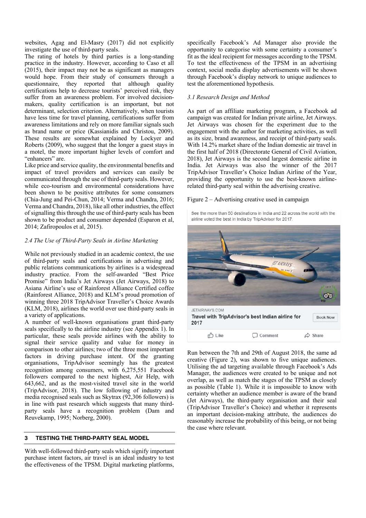websites, Agag and El-Masry (2017) did not explicitly investigate the use of third-party seals.

The rating of hotels by third parties is a long-standing practice in the industry. However, according to Caso et all (2015), their impact may not be as significant as managers would hope. From their study of consumers through a questionnaire, they reported that although quality certifications help to decrease tourists' perceived risk, they suffer from an awareness problem. For involved decisionmakers, quality certification is an important, but not determinant, selection criterion. Alternatively, when tourists have less time for travel planning, certifications suffer from awareness limitations and rely on more familiar signals such as brand name or price (Kassianidis and Christou, 2009). These results are somewhat explained by Lockyer and Roberts (2009), who suggest that the longer a guest stays in a motel, the more important higher levels of comfort and "enhancers" are.

Like price and service quality, the environmental benefits and impact of travel providers and services can easily be communicated through the use of third-party seals. However, while eco-tourism and environmental considerations have been shown to be positive attributes for some consumers (Chia-Jung and Pei-Chun, 2014; Verma and Chandra, 2016; Verma and Chandra, 2018), like all other industries, the effect of signalling this through the use of third-party seals has been shown to be product and consumer depended (Esparon et al, 2014; Zafiropoulos et al, 2015).

# *2.4 The Use of Third-Party Seals in Airline Marketing*

While not previously studied in an academic context, the use of third-party seals and certifications in advertising and public relations communications by airlines is a widespread industry practice. From the self-awarded "Best Price Promise" from India's Jet Airways (Jet Airways, 2018) to Asiana Airline's use of Rainforest Alliance Certified coffee (Rainforest Alliance, 2018) and KLM's proud promotion of winning three 2018 TripAdvisor Traveller's Choice Awards (KLM, 2018), airlines the world over use third-party seals in a variety of applications.

A number of well-known organisations grant third-party seals specifically to the airline industry (see Appendix 1). In particular, these seals provide airlines with the ability to signal their service quality and value for money in comparison to other airlines; two of the three most important factors in driving purchase intent. Of the granting organisations, TripAdvisor seemingly has the greatest recognition among consumers, with 6,275,551 Facebook followers compared to the next highest, Air Help, with 643,662, and as the most-visited travel site in the world (TripAdvisor, 2018). The low following of industry and media recognised seals such as Skytrax (92,306 followers) is in line with past research which suggests that many thirdparty seals have a recognition problem (Dam and Reuvekamp, 1995; Norberg, 2000).

#### **3 TESTING THE THIRD-PARTY SEAL MODEL**

With well-followed third-party seals which signify important purchase intent factors, air travel is an ideal industry to test the effectiveness of the TPSM. Digital marketing platforms,

specifically Facebook's Ad Manager also provide the opportunity to categorise with some certainty a consumer's fit as the ideal recipient for messages according to the TPSM. To test the effectiveness of the TPSM in an advertising context, social media display advertisements will be shown through Facebook's display network to unique audiences to test the aforementioned hypothesis.

## *3.1 Research Design and Method*

As part of an affiliate marketing program, a Facebook ad campaign was created for Indian private airline, Jet Airways. Jet Airways was chosen for the experiment due to the engagement with the author for marketing activities, as well as its size, brand awareness, and receipt of third-party seals. With 14.2% market share of the Indian domestic air travel in the first half of 2018 (Directorate General of Civil Aviation, 2018), Jet Airways is the second largest domestic airline in India. Jet Airways was also the winner of the 2017 TripAdvisor Traveller's Choice Indian Airline of the Year, providing the opportunity to use the best-known airlinerelated third-party seal within the advertising creative.

#### Figure 2 – Advertising creative used in campaign

See the more than 50 destinations in India and 22 across the world with the airline voted the best in India by TripAdvisor for 2017.



Run between the 7th and 29th of August 2018, the same ad creative (Figure 2), was shown to five unique audiences. Utilising the ad targeting available through Facebook's Ads Manager, the audiences were created to be unique and not overlap, as well as match the stages of the TPSM as closely as possible (Table 1). While it is impossible to know with certainty whether an audience member is aware of the brand (Jet Airways), the third-party organisation and their seal (TripAdvisor Traveller's Choice) and whether it represents an important decision-making attribute, the audiences do reasonably increase the probability of this being, or not being the case where relevant.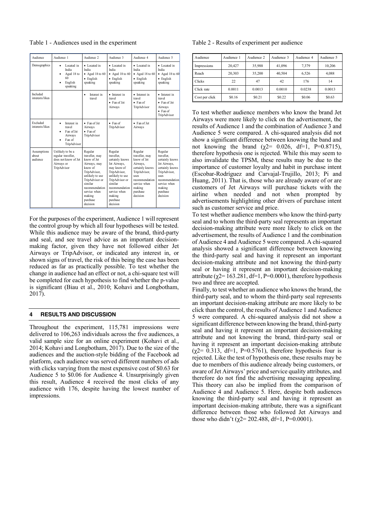Table 1 - Audiences used in the experiment

| Audience                         | Audience 1                                                                                        | Audience 2                                                                                                                                                                                              | Audience 3                                                                                                                                                                                                  | Audience 4                                                                                                                                                          | Audience 5                                                                                                                                                              |
|----------------------------------|---------------------------------------------------------------------------------------------------|---------------------------------------------------------------------------------------------------------------------------------------------------------------------------------------------------------|-------------------------------------------------------------------------------------------------------------------------------------------------------------------------------------------------------------|---------------------------------------------------------------------------------------------------------------------------------------------------------------------|-------------------------------------------------------------------------------------------------------------------------------------------------------------------------|
| Demographics                     | Located in<br>India<br>Aged 18 to<br>60<br>English<br>speaking                                    | • Located in<br>India<br>$\bullet$ Aged 18 to 60<br>$\bullet$ English<br>speaking                                                                                                                       | • Located in<br>India<br>$\bullet$ Aged 18 to 60<br>• English<br>speaking                                                                                                                                   | · Located in<br>India<br>$\bullet$ Aged 18 to 60<br>• English<br>speaking                                                                                           | • Located in<br>India<br>• Aged 18 to $60$<br>$\bullet$ English<br>speaking                                                                                             |
| Included<br>interests/likes      |                                                                                                   | Interest in<br>$\bullet$<br>travel                                                                                                                                                                      | · Interest in<br>travel<br>• Fan of Jet<br>Airways                                                                                                                                                          | · Interest in<br>travel<br>$\bullet$ Fan of<br>TripAdvisor                                                                                                          | · Interest in<br>travel<br>• Fan of Jet<br>Airways<br>$\bullet$ Fan of<br>TripAdvisor                                                                                   |
| Excluded<br>interests/likes      | Interest in<br>$\bullet$<br>travel<br>Fan of Jet<br>$\bullet$<br>Airways<br>Fan of<br>TripAdvisor | • Fan of Jet<br>Airways<br>$•$ Fan of<br>TripAdvisor                                                                                                                                                    | $\bullet$ Fan of<br>TripAdvisor                                                                                                                                                                             | • Fan of Jet<br>Airways                                                                                                                                             |                                                                                                                                                                         |
| Assumptions<br>about<br>audience | Unlikely to be a<br>regular traveller.<br>does not know of Jet<br>Airways or<br>TripAdvisor       | Regular<br>traveller, may<br>know of Jet<br>Airways, may<br>know of<br>TripAdvisor,<br>unlikely to use<br>TripAdvisor or<br>similar<br>recommendation<br>service when<br>making<br>purchase<br>decision | Regular<br>traveller.<br>certainly knows<br>Jet Airways,<br>may know of<br>TripAdvisor,<br>unlikely to use<br>TripAdvisor or<br>similar<br>recommendation<br>service when<br>making<br>purchase<br>decision | Regular<br>traveller, may<br>know of Jet<br>Airways.<br>certainly knows<br>TripAdvisor,<br>uses<br>recommendation<br>service when<br>making<br>purchase<br>decision | Regular<br>traveller.<br>certainly knows<br>Jet Airways.<br>certainly knows<br>TripAdvisor,<br>uses<br>recommendation<br>service when<br>making<br>purchase<br>decision |

For the purposes of the experiment, Audience 1 will represent the control group by which all four hypotheses will be tested. While this audience may be aware of the brand, third-party and seal, and see travel advice as an important decisionmaking factor, given they have not followed either Jet Airways or TripAdvisor, or indicated any interest in, or shown signs of travel, the risk of this being the case has been reduced as far as practically possible. To test whether the change in audience had an effect or not, a chi-square test will be completed for each hypothesis to find whether the p-value is significant (Biau et al., 2010; Kohavi and Longbotham, 2017).

## **4 RESULTS AND DISCUSSION**

Throughout the experiment, 115,781 impressions were delivered to 106,263 individuals across the five audiences, a valid sample size for an online experiment (Kohavi et al., 2014; Kohavi and Longbotham, 2017). Due to the size of the audiences and the auction-style bidding of the Facebook ad platform, each audience was served different numbers of ads with clicks varying from the most expensive cost of \$0.63 for Audience 5 to \$0.06 for Audience 4. Unsurprisingly given this result, Audience 4 received the most clicks of any audience with 176, despite having the lowest number of impressions.

Table 2 - Results of experiment per audience

| Audience       | Audience 1 | Audience 2 | Audience 3 | Audience 4 | Audience 5 |
|----------------|------------|------------|------------|------------|------------|
| Impressions    | 20.427     | 35,988     | 41,096     | 7.379      | 10.206     |
| Reach          | 20,303     | 35,200     | 40,504     | 6,526      | 4,088      |
| <b>Clicks</b>  | 22         | 47         | 42         | 176        | 14         |
| Click rate     | 0.0011     | 0.0013     | 0.0010     | 0.0238     | 0.0013     |
| Cost per click | \$0.16     | \$0.21     | \$0.22     | \$0.06     | \$0.63     |

To test whether audience members who know the brand Jet Airways were more likely to click on the advertisement, the results of Audience 1 and the combination of Audience 3 and Audience 5 were compared. A chi-squared analysis did not show a significant difference between knowing the band and not knowing the brand ( $χ$ 2= 0.026, df=1, P=0.8715), therefore hypothesis one is rejected. While this may seem to also invalidate the TPSM, these results may be due to the importance of customer loyalty and habit in purchase intent (Escobar-Rodríguez and Carvajal-Trujillo, 2013; Pi and Huang, 2011). That is, those who are already aware of or are customers of Jet Airways will purchase tickets with the airline when needed and not when prompted by advertisements highlighting other drivers of purchase intent such as customer service and price.

To test whether audience members who know the third-party seal and to whom the third-party seal represents an important decision-making attribute were more likely to click on the advertisement, the results of Audience 1 and the combination of Audience 4 and Audience 5 were compared. A chi-squared analysis showed a significant difference between knowing the third-party seal and having it represent an important decision-making attribute and not knowing the third-party seal or having it represent an important decision-making attribute ( $\chi$ 2= 163.281, df=1, P=0.0001), therefore hypothesis two and three are accepted.

Finally, to test whether an audience who knows the brand, the third-party seal, and to whom the third-party seal represents an important decision-making attribute are more likely to be click than the control, the results of Audience 1 and Audience 5 were compared. A chi-squared analysis did not show a significant difference between knowing the brand, third-party seal and having it represent an important decision-making attribute and not knowing the brand, third-party seal or having it represent an important decision-making attribute  $(\chi2= 0.313, df=1, P=0.5761)$ , therefore hypothesis four is rejected. Like the test of hypothesis one, these results may be due to members of this audience already being customers, or aware of Jet Airways' price and service quality attributes, and therefore do not find the advertising messaging appealing. This theory can also be implied from the comparison of Audience 4 and Audience 5. Here, despite both audiences knowing the third-party seal and having it represent an important decision-making attribute, there was a significant difference between those who followed Jet Airways and those who didn't ( $\chi$ 2= 202.488, df=1, P=0.0001).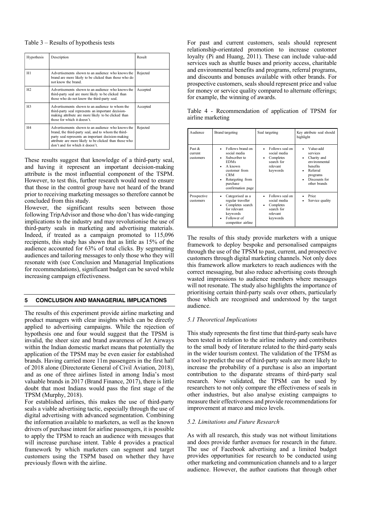#### Table 3 – Results of hypothesis tests

| Hypothesis     | Description                                                                                                                                                                                                                                                | Result   |
|----------------|------------------------------------------------------------------------------------------------------------------------------------------------------------------------------------------------------------------------------------------------------------|----------|
| H1             | Advertisements shown to an audience who knows the<br>brand are more likely to be clicked than those who do<br>not know the brand                                                                                                                           | Rejected |
| H <sub>2</sub> | Advertisements shown to an audience who knows the<br>third-party seal are more likely to be clicked than<br>those who do not know the third-party seal.                                                                                                    | Accepted |
| H <sub>3</sub> | Advertisements shown to an audience to whom the<br>third-party seal represents an important decision-<br>making attribute are more likely to be clicked than<br>those for which it doesn't                                                                 | Accepted |
| H <sub>4</sub> | Advertisements shown to an audience who knows the<br>brand, the third-party seal, and to whom the third-<br>party seal represents an important decision-making<br>attribute are more likely to be clicked than those who<br>don't and for which it doesn't | Rejected |

These results suggest that knowledge of a third-party seal, and having it represent an important decision-making attribute is the most influential component of the TSPM. However, to test this, further research would need to ensure that those in the control group have not heard of the brand prior to receiving marketing messages so therefore cannot be concluded from this study.

However, the significant results seen between those following TripAdvisor and those who don't has wide-ranging implications to the industry and may revolutionise the use of third-party seals in marketing and advertising materials. Indeed, if treated as a campaign promoted to 115,096 recipients, this study has shown that as little as 15% of the audience accounted for 63% of total clicks. By segmenting audiences and tailoring messages to only those who they will resonate with (see Conclusion and Managerial Implications for recommendations), significant budget can be saved while increasing campaign effectiveness.

## **5 CONCLUSION AND MANAGERIAL IMPLICATIONS**

The results of this experiment provide airline marketing and product managers with clear insights which can be directly applied to advertising campaigns. While the rejection of hypothesis one and four would suggest that the TPSM is invalid, the sheer size and brand awareness of Jet Airways within the Indian domestic market means that potentially the application of the TPSM may be even easier for established brands. Having carried more 11m passengers in the first half of 2018 alone (Directorate General of Civil Aviation, 2018), and as one of three airlines listed in among India's most valuable brands in 2017 (Brand Finance, 2017), there is little doubt that most Indians would pass the first stage of the TPSM (Murphy, 2018).

For established airlines, this makes the use of third-party seals a viable advertising tactic, especially through the use of digital advertising with advanced segmentation. Combining the information available to marketers, as well as the known drivers of purchase intent for airline passengers, it is possible to apply the TPSM to reach an audience with messages that will increase purchase intent. Table 4 provides a practical framework by which marketers can segment and target customers using the TSPM based on whether they have previously flown with the airline.

For past and current customers, seals should represent relationship-orientated promotion to increase customer loyalty (Pi and Huang, 2011). These can include value-add services such as shuttle buses and priority access, charitable and environmental benefits and programs, referral programs, and discounts and bonuses available with other brands. For prospective customers, seals should represent price and value for money or service quality compared to alternate offerings; for example, the winning of awards.

Table 4 - Recommendation of application of TPSM for airline marketing

| Audience                       | Brand targeting                                                                                                                                                                   | Seal targeting                                                                          | Key attribute seal should<br>highlight                                                                                               |
|--------------------------------|-----------------------------------------------------------------------------------------------------------------------------------------------------------------------------------|-----------------------------------------------------------------------------------------|--------------------------------------------------------------------------------------------------------------------------------------|
| Past &<br>current<br>customers | Follows brand on<br>social media<br>Subscriber to<br>٠<br><b>EDMs</b><br>A known<br>customer from<br><b>CRM</b><br>Retargeting from<br>$\bullet$<br>purchase<br>confirmation page | Follows seal on<br>social media<br>Completes<br>٠<br>search for<br>relevant<br>keywords | Value-add<br>services<br>Charity and<br>٠<br>environmental<br>benefits<br>Referral<br>٠<br>programs<br>Discounts for<br>other brands |
| Prospective<br>customers       | Categorised as a<br>regular traveller<br>Completes search<br>$\bullet$<br>for relevant<br>keywords<br>Follower of<br>$\bullet$<br>competitor airline                              | Follows seal on<br>social media<br>Completes<br>٠<br>search for<br>relevant<br>keywords | Price<br>Service quality                                                                                                             |

The results of this study provide marketers with a unique framework to deploy bespoke and personalised campaigns through the use of the TPSM to past, current, and prospective customers through digital marketing channels. Not only does this framework allow marketers to reach audiences with the correct messaging, but also reduce advertising costs through wasted impressions to audience members where messages will not resonate. The study also highlights the importance of prioritising certain third-party seals over others, particularly those which are recognised and understood by the target audience.

#### *5.1 Theoretical Implications*

This study represents the first time that third-party seals have been tested in relation to the airline industry and contributes to the small body of literature related to the third-party seals in the wider tourism context. The validation of the TPSM as a tool to predict the use of third-party seals are more likely to increase the probability of a purchase is also an important contribution to the disparate streams of third-party seal research. Now validated, the TPSM can be used by researchers to not only compare the effectiveness of seals in other industries, but also analyse existing campaigns to measure their effectiveness and provide recommendations for improvement at marco and mico levels.

#### *5.2. Limitations and Future Research*

As with all research, this study was not without limitations and does provide further avenues for research in the future. The use of Facebook advertising and a limited budget provides opportunities for research to be conducted using other marketing and communication channels and to a larger audience. However, the author cautions that through other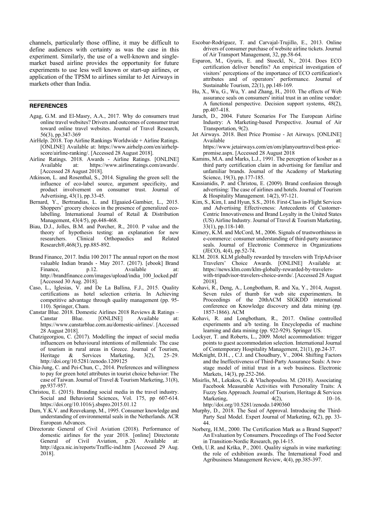channels, particularly those offline, it may be difficult to define audiences with certainty as was the case in this experiment. Similarly, the use of a well-known and singlemarket based airline provides the opportunity for future experiments to use less well known or start-up airlines, or application of the TPSM to airlines similar to Jet Airways in markets other than India.

#### **REFERENCES**

- Agag, G.M. and El-Masry, A.A., 2017. Why do consumers trust online travel websites? Drivers and outcomes of consumer trust toward online travel websites. Journal of Travel Research, 56(3), pp.347-369
- AirHelp. 2018. Top Airline Rankings Worldwide + Airline Ratings. [ONLINE] Available at: https://www.airhelp.com/en/airhelpscore/airline-ranking/. [Accessed 28 August 2018].
- Airline Ratings. 2018. Awards Airline Ratings. [ONLINE] Available at: https://www.airlineratings.com/awards/. [Accessed 28 August 2018].
- Atkinson, L. and Rosenthal, S., 2014. Signaling the green sell: the influence of eco-label source, argument specificity, and product involvement on consumer trust. Journal of Advertising, 43(1), pp.33-45.
- Bernard, Y., Bertrandias, L. and Elgaaied-Gambier, L., 2015. Shoppers' grocery choices in the presence of generalized ecolabelling. International Journal of Retail & Distribution Management, 43(4/5), pp.448-468.
- Biau, D.J., Jolles, B.M. and Porcher, R., 2010. P value and the theory of hypothesis testing: an explanation for new<br>researchers. Clinical Orthopaedics and Related researchers. Clinical Orthopaedics and Related Research®,468(3), pp.885-892.
- Brand Finance, 2017. India 100 2017 The annual report on the most valuable Indian brands - May 2017. (2017). [ebook] Brand Finance, p.12. Available at: Finance, p.12. Available at: http://brandfinance.com/images/upload/india\_100\_locked.pdf [Accessed 30 Aug. 2018].
- Caso, L., Iglesias, V. and De La Ballina, F.J., 2015. Quality certifications as hotel selection criteria. In Achieving competitive advantage through quality management (pp. 95- 110). Springer, Cham.
- Canstar Blue. 2018. Domestic Airlines 2018 Reviews & Ratings Canstar Blue. [ONLINE] Available at: https://www.canstarblue.com.au/domestic-airlines/. [Accessed 28 August 2018].
- Chatzigeorgiou, C. (2017). Modelling the impact of social media influencers on behavioural intentions of millennials: The case of tourism in rural areas in Greece. Journal of Tourism, Heritage & Services Marketing, 3(2), 25–29. http://doi.org/10.5281/zenodo.1209125
- Chia-Jung, C. and Pei-Chun, C., 2014. Preferences and willingness to pay for green hotel attributes in tourist choice behavior: The case of Taiwan. Journal of Travel & Tourism Marketing, 31(8), pp.937-957.
- Christou, E. (2015). Branding social media in the travel industry. Social and Behavioral Sciences, Vol. 175, pp 607-614. https://doi.org/10.1016/j.sbspro.2015.01.12
- Dam, Y.K.V. and Reuvekamp, M., 1995. Consumer knowledge and understanding of environmental seals in the Netherlands. ACR European Advances.
- Directorate General of Civil Aviation (2018). Performance of domestic airlines for the year 2018. [online] Directorate General of Civil Aviation, p.20. Available at: http://dgca.nic.in/reports/Traffic-ind.htm [Accessed 29 Aug. 2018].
- Escobar-Rodríguez, T. and Carvajal-Trujillo, E., 2013. Online drivers of consumer purchase of website airline tickets. Journal of Air Transport Management, 32, pp.58-64.
- Esparon, M., Gyuris, E. and Stoeckl, N., 2014. Does ECO certification deliver benefits? An empirical investigation of visitors' perceptions of the importance of ECO certification's attributes and of operators' performance. Journal of Sustainable Tourism,  $22(1)$ , pp. 148-169.
- Hu, X., Wu, G., Wu, Y. and Zhang, H., 2010. The effects of Web assurance seals on consumers' initial trust in an online vendor: A functional perspective. Decision support systems, 48(2), pp.407-418.
- Jarach, D., 2004. Future Scenarios For The European Airline Industry: A Marketing-based Perspective. Journal of Air Transportation, 9(2).
- Jet Airways. 2018. Best Price Promise Jet Airways. [ONLINE] Available at: https://www.jetairways.com/en/om/planyourtravel/best-price-
- promise.aspx. [Accessed 28 August 2018 Kamins, M.A. and Marks, L.J., 1991. The perception of kosher as a third party certification claim in advertising for familiar and unfamiliar brands. Journal of the Academy of Marketing Science, 19(3), pp.177-185.
- Kassianidis, P. and Christou, E. (2009). Brand confusion through advertising: The case of airlines and hotels. Journal of Tourism & Hospitality Management. 14(2), 97-121.
- Kim, S., Kim, I. and Hyun, S.S., 2016. First-Class in-Flight Services and Advertising Effectiveness: Antecedents of Customer-Centric Innovativeness and Brand Loyalty in the United States (US) Airline Industry. Journal of Travel & Tourism Marketing, 33(1), pp.118-140.
- Kimery, K.M. and McCord, M., 2006. Signals of trustworthiness in e-commerce: consumer understanding of third-party assurance seals. Journal of Electronic Commerce in Organizations (JECO), 4(4), pp.52-74.
- KLM. 2018. KLM globally rewarded by travelers with TripAdvisor Travelers' Choice Awards. [ONLINE] Available at: https://news.klm.com/klm-globally-rewarded-by-travelerswith-tripadvisor-travelers-choice-awrds/. [Accessed 28 August 2018].
- Kohavi, R., Deng, A., Longbotham, R. and Xu, Y., 2014, August. Seven rules of thumb for web site experimenters. In Proceedings of the 20thACM SIGKDD international conference on Knowledge discovery and data mining (pp. 1857-1866). ACM
- Kohavi, R. and Longbotham, R., 2017. Online controlled experiments and a/b testing. In Encyclopedia of machine learning and data mining (pp. 922-929). Springer US.
- Lockyer, T. and Roberts, L., 2009. Motel accommodation: trigger points to guest accommodation selection. International Journal of Contemporary Hospitality Management, 21(1), pp.24-37.
- McKnight, D.H., , C.J. and Choudhury, V., 2004. Shifting Factors and the Ineffectiveness of Third-Party Assurance Seals: A twostage model of initial trust in a web business. Electronic Markets, 14(3), pp.252-266.
- Misirlis, M., Lekakos, G. & Vlachopoulou. M. (2018). Associating Facebook Measurable Activities with Personality Traits: A Fuzzy Sets Approach. Journal of Tourism, Heritage & Services Marketing, 4(2), 10–16. http://doi.org/10.5281/zenodo.1490360
- Murphy, D., 2018. The Seal of Approval. Introducing the Third-Party Seal Model. Expert Journal of Marketing, 6(2), pp. 33- 44.
- Norberg, H.M., 2000. The Certification Mark as a Brand Support? An Evaluation by Consumers. Proceedings of The Food Sector in Transition-Nordic Research, pp.14-15.
- Orth, U.R. and Krška, P., 2001. Quality signals in wine marketing: the role of exhibition awards. The International Food and Agribusiness Management Review, 4(4), pp.385-397.